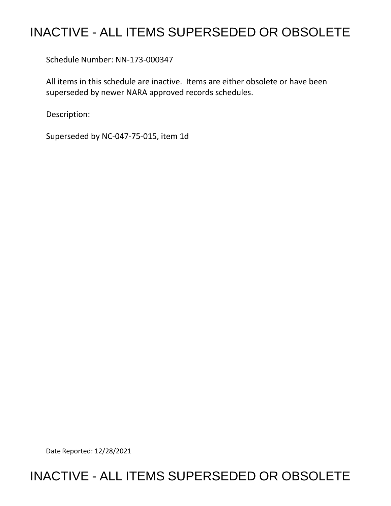## INACTIVE - ALL ITEMS SUPERSEDED OR OBSOLETE

Schedule Number: NN-173-000347

 All items in this schedule are inactive. Items are either obsolete or have been superseded by newer NARA approved records schedules.

Description:

Superseded by NC-047-75-015, item 1d

Date Reported: 12/28/2021

## INACTIVE - ALL ITEMS SUPERSEDED OR OBSOLETE